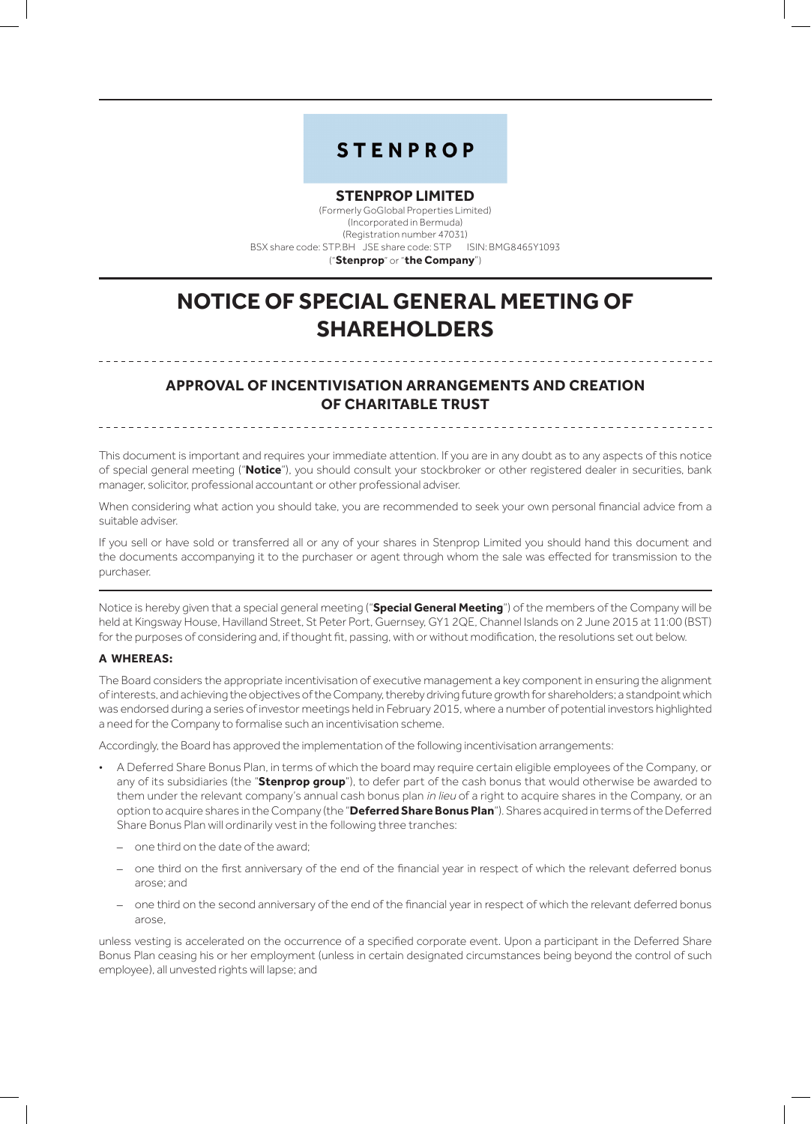## **STENPROP**

#### **STENPROP LIMITED**

(Formerly GoGlobal Properties Limited) (Incorporated in Bermuda) (Registration number 47031) BSX share code: STP.BH JSE share code: STP ISIN: BMG8465Y1093 ("**Stenprop**" or "**the Company**")

# **NOTICE OF SPECIAL GENERAL MEETING OF SHAREHOLDERS**

### **APPROVAL OF INCENTIVISATION ARRANGEMENTS AND CREATION OF CHARITABLE TRUST**

This document is important and requires your immediate attention. If you are in any doubt as to any aspects of this notice of special general meeting ("**Notice**"), you should consult your stockbroker or other registered dealer in securities, bank manager, solicitor, professional accountant or other professional adviser.

When considering what action you should take, you are recommended to seek your own personal financial advice from a suitable adviser.

If you sell or have sold or transferred all or any of your shares in Stenprop Limited you should hand this document and the documents accompanying it to the purchaser or agent through whom the sale was effected for transmission to the purchaser.

Notice is hereby given that a special general meeting ("**Special General Meeting**") of the members of the Company will be held at Kingsway House, Havilland Street, St Peter Port, Guernsey, GY1 2QE, Channel Islands on 2 June 2015 at 11:00 (BST) for the purposes of considering and, if thought fit, passing, with or without modification, the resolutions set out below.

#### **A whereas:**

The Board considers the appropriate incentivisation of executive management a key component in ensuring the alignment of interests, and achieving the objectives of the Company, thereby driving future growth for shareholders; a standpoint which was endorsed during a series of investor meetings held in February 2015, where a number of potential investors highlighted a need for the Company to formalise such an incentivisation scheme.

Accordingly, the Board has approved the implementation of the following incentivisation arrangements:

- A Deferred Share Bonus Plan, in terms of which the board may require certain eligible employees of the Company, or any of its subsidiaries (the "**Stenprop group**"), to defer part of the cash bonus that would otherwise be awarded to them under the relevant company's annual cash bonus plan in lieu of a right to acquire shares in the Company, or an option to acquire shares in the Company (the "**Deferred Share Bonus Plan**"). Shares acquired in terms of the Deferred Share Bonus Plan will ordinarily vest in the following three tranches:
	- one third on the date of the award;
	- one third on the first anniversary of the end of the financial year in respect of which the relevant deferred bonus arose; and
	- one third on the second anniversary of the end of the financial year in respect of which the relevant deferred bonus arose,

unless vesting is accelerated on the occurrence of a specified corporate event. Upon a participant in the Deferred Share Bonus Plan ceasing his or her employment (unless in certain designated circumstances being beyond the control of such employee), all unvested rights will lapse; and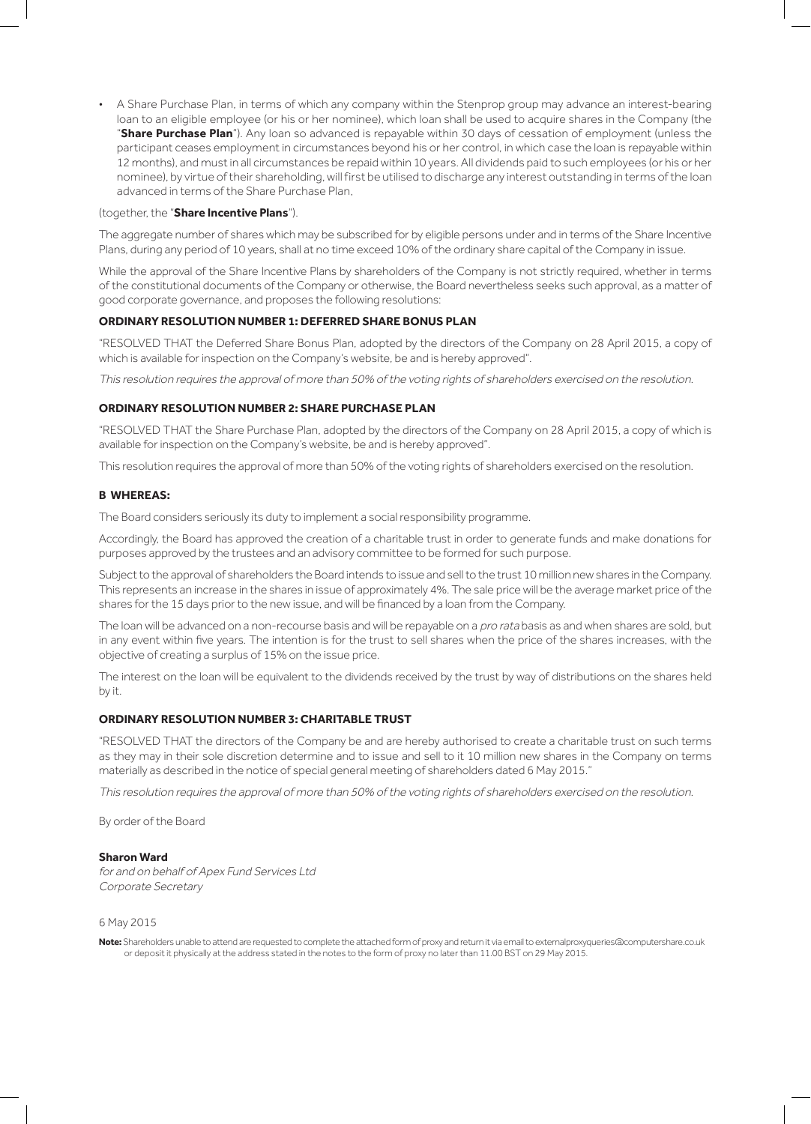• A Share Purchase Plan, in terms of which any company within the Stenprop group may advance an interest-bearing loan to an eligible employee (or his or her nominee), which loan shall be used to acquire shares in the Company (the "**Share Purchase Plan**"). Any loan so advanced is repayable within 30 days of cessation of employment (unless the participant ceases employment in circumstances beyond his or her control, in which case the loan is repayable within 12 months), and must in all circumstances be repaid within 10 years. All dividends paid to such employees (or his or her nominee), by virtue of their shareholding, will first be utilised to discharge any interest outstanding in terms of the loan advanced in terms of the Share Purchase Plan,

#### (together, the "**Share Incentive Plans**").

The aggregate number of shares which may be subscribed for by eligible persons under and in terms of the Share Incentive Plans, during any period of 10 years, shall at no time exceed 10% of the ordinary share capital of the Company in issue.

While the approval of the Share Incentive Plans by shareholders of the Company is not strictly required, whether in terms of the constitutional documents of the Company or otherwise, the Board nevertheless seeks such approval, as a matter of good corporate governance, and proposes the following resolutions:

#### **ORDINARY RESOLUTION NUMBER 1: DEFERRED SHARE BONUS PLAN**

"RESOLVED THAT the Deferred Share Bonus Plan, adopted by the directors of the Company on 28 April 2015, a copy of which is available for inspection on the Company's website, be and is hereby approved".

This resolution requires the approval of more than 50% of the voting rights of shareholders exercised on the resolution.

#### **ORDINARY RESOLUTION NUMBER 2: SHARE PURCHASE PLAN**

"RESOLVED THAT the Share Purchase Plan, adopted by the directors of the Company on 28 April 2015, a copy of which is available for inspection on the Company's website, be and is hereby approved".

This resolution requires the approval of more than 50% of the voting rights of shareholders exercised on the resolution.

#### **B whereas:**

The Board considers seriously its duty to implement a social responsibility programme.

Accordingly, the Board has approved the creation of a charitable trust in order to generate funds and make donations for purposes approved by the trustees and an advisory committee to be formed for such purpose.

Subject to the approval of shareholders the Board intends to issue and sell to the trust 10 million new shares in the Company. This represents an increase in the shares in issue of approximately 4%. The sale price will be the average market price of the shares for the 15 days prior to the new issue, and will be financed by a loan from the Company.

The loan will be advanced on a non-recourse basis and will be repayable on a pro rata basis as and when shares are sold, but in any event within five years. The intention is for the trust to sell shares when the price of the shares increases, with the objective of creating a surplus of 15% on the issue price.

The interest on the loan will be equivalent to the dividends received by the trust by way of distributions on the shares held by it.

#### **ORDINARY RESOLUTION NUMBER 3: CHARITABLE TRUST**

"RESOLVED THAT the directors of the Company be and are hereby authorised to create a charitable trust on such terms as they may in their sole discretion determine and to issue and sell to it 10 million new shares in the Company on terms materially as described in the notice of special general meeting of shareholders dated 6 May 2015."

This resolution requires the approval of more than 50% of the voting rights of shareholders exercised on the resolution.

By order of the Board

#### **Sharon Ward**

for and on behalf of Apex Fund Services Ltd Corporate Secretary

#### 6 May 2015

**Note:** Shareholders unable to attend are requested to complete the attached form of proxy and return it via email to externalproxyqueries@computershare.co.uk or deposit it physically at the address stated in the notes to the form of proxy no later than 11.00 BST on 29 May 2015.